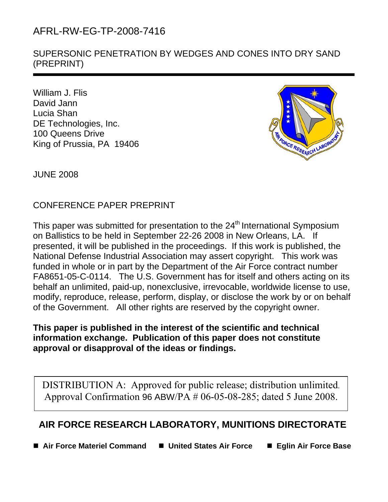# AFRL-RW-EG-TP-2008-7416

SUPERSONIC PENETRATION BY WEDGES AND CONES INTO DRY SAND (PREPRINT)

William J. Flis David Jann Lucia Shan DE Technologies, Inc. 100 Queens Drive King of Prussia, PA 19406



JUNE 2008

1

CONFERENCE PAPER PREPRINT

This paper was submitted for presentation to the 24<sup>th</sup> International Symposium on Ballistics to be held in September 22-26 2008 in New Orleans, LA. If presented, it will be published in the proceedings. If this work is published, the National Defense Industrial Association may assert copyright. This work was funded in whole or in part by the Department of the Air Force contract number FA8651-05-C-0114. The U.S. Government has for itself and others acting on its behalf an unlimited, paid-up, nonexclusive, irrevocable, worldwide license to use, modify, reproduce, release, perform, display, or disclose the work by or on behalf of the Government. All other rights are reserved by the copyright owner.

## **This paper is published in the interest of the scientific and technical information exchange. Publication of this paper does not constitute approval or disapproval of the ideas or findings.**

DISTRIBUTION A: Approved for public release; distribution unlimited. Approval Confirmation 96 ABW/PA # 06-05-08-285; dated 5 June 2008.

## **AIR FORCE RESEARCH LABORATORY, MUNITIONS DIRECTORATE**

■ Air Force Materiel Command ■ United States Air Force ■ Eglin Air Force Base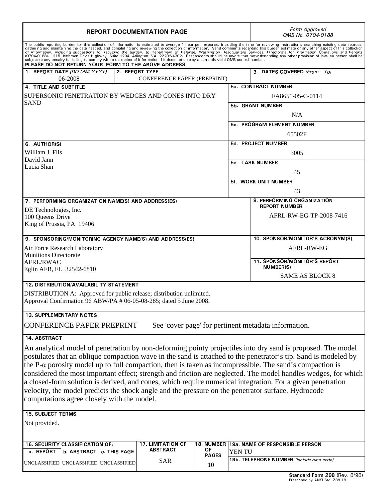| <b>REPORT DOCUMENTATION PAGE</b>                                                                                                                                                                                                                                                                                                                                                                                                                                                                                                                                                                                                                                                                                                     | Form Approved<br>OMB No. 0704-0188 |                                            |                  |                                                         |  |  |  |
|--------------------------------------------------------------------------------------------------------------------------------------------------------------------------------------------------------------------------------------------------------------------------------------------------------------------------------------------------------------------------------------------------------------------------------------------------------------------------------------------------------------------------------------------------------------------------------------------------------------------------------------------------------------------------------------------------------------------------------------|------------------------------------|--------------------------------------------|------------------|---------------------------------------------------------|--|--|--|
| The public reporting burden for this collection of information is estimated to average 1 hour per response, including the time for reviewing instructions, searching existing data sources,<br>gathering and maintaining the data<br>and the manufacture of this collection of the completing and reviewing the conection of miorination. Send comments regarding this burden estimate or any other aspect of this collection<br>The commeter of the surfact of the co<br>PLEASE DO NOT RETURN YOUR FORM TO THE ABOVE ADDRESS.                                                                                                                                                                                                       |                                    |                                            |                  |                                                         |  |  |  |
| 1. REPORT DATE (DD-MM-YYYY)<br>2. REPORT TYPE<br>06-2008<br>CONFERENCE PAPER (PREPRINT)                                                                                                                                                                                                                                                                                                                                                                                                                                                                                                                                                                                                                                              | 3. DATES COVERED (From To)         |                                            |                  |                                                         |  |  |  |
| 4 TITLE AND SUBTITLE                                                                                                                                                                                                                                                                                                                                                                                                                                                                                                                                                                                                                                                                                                                 |                                    |                                            |                  | 5a CONTRACT NUMBER                                      |  |  |  |
| SUPERSONIC PENETRATION BY WEDGES AND CONES INTO DRY<br><b>SAND</b>                                                                                                                                                                                                                                                                                                                                                                                                                                                                                                                                                                                                                                                                   |                                    |                                            |                  | FA8651-05-C-0114                                        |  |  |  |
|                                                                                                                                                                                                                                                                                                                                                                                                                                                                                                                                                                                                                                                                                                                                      |                                    |                                            | 5b. GRANT NUMBER |                                                         |  |  |  |
|                                                                                                                                                                                                                                                                                                                                                                                                                                                                                                                                                                                                                                                                                                                                      |                                    |                                            |                  | N/A                                                     |  |  |  |
|                                                                                                                                                                                                                                                                                                                                                                                                                                                                                                                                                                                                                                                                                                                                      |                                    |                                            |                  | 5c. PROGRAM ELEMENT NUMBER                              |  |  |  |
|                                                                                                                                                                                                                                                                                                                                                                                                                                                                                                                                                                                                                                                                                                                                      |                                    |                                            |                  | 65502F                                                  |  |  |  |
| 6 AUTHOR(S)                                                                                                                                                                                                                                                                                                                                                                                                                                                                                                                                                                                                                                                                                                                          |                                    |                                            |                  | 5d. PROJECT NUMBER                                      |  |  |  |
| William J. Flis                                                                                                                                                                                                                                                                                                                                                                                                                                                                                                                                                                                                                                                                                                                      |                                    |                                            | 3005             |                                                         |  |  |  |
| David Jann                                                                                                                                                                                                                                                                                                                                                                                                                                                                                                                                                                                                                                                                                                                           |                                    |                                            |                  |                                                         |  |  |  |
| Lucia Shan                                                                                                                                                                                                                                                                                                                                                                                                                                                                                                                                                                                                                                                                                                                           |                                    |                                            |                  | <b>5e. TASK NUMBER</b>                                  |  |  |  |
|                                                                                                                                                                                                                                                                                                                                                                                                                                                                                                                                                                                                                                                                                                                                      |                                    |                                            |                  | 45<br><b>5f. WORK UNIT NUMBER</b>                       |  |  |  |
|                                                                                                                                                                                                                                                                                                                                                                                                                                                                                                                                                                                                                                                                                                                                      |                                    |                                            |                  | 43                                                      |  |  |  |
| 7. PERFORMING ORGANIZATION NAME(S) AND ADDRESS(ES)                                                                                                                                                                                                                                                                                                                                                                                                                                                                                                                                                                                                                                                                                   |                                    |                                            |                  | 8. PERFORMING ORGANIZATION                              |  |  |  |
| DE Technologies, Inc.                                                                                                                                                                                                                                                                                                                                                                                                                                                                                                                                                                                                                                                                                                                |                                    |                                            |                  | <b>REPORT NUMBER</b>                                    |  |  |  |
| 100 Queens Drive                                                                                                                                                                                                                                                                                                                                                                                                                                                                                                                                                                                                                                                                                                                     |                                    |                                            |                  | AFRL-RW-EG-TP-2008-7416                                 |  |  |  |
| King of Prussia, PA 19406                                                                                                                                                                                                                                                                                                                                                                                                                                                                                                                                                                                                                                                                                                            |                                    |                                            |                  |                                                         |  |  |  |
| 9. SPONSORING/MONITORING AGENCY NAME(S) AND ADDRESS(ES)                                                                                                                                                                                                                                                                                                                                                                                                                                                                                                                                                                                                                                                                              |                                    |                                            |                  | 10. SPONSOR/MONITOR'S ACRONYM(S)                        |  |  |  |
| Air Force Research Laboratory                                                                                                                                                                                                                                                                                                                                                                                                                                                                                                                                                                                                                                                                                                        |                                    |                                            |                  | AFRL-RW-EG                                              |  |  |  |
| <b>Munitions Directorate</b>                                                                                                                                                                                                                                                                                                                                                                                                                                                                                                                                                                                                                                                                                                         |                                    |                                            |                  |                                                         |  |  |  |
| <b>AFRL/RWAC</b>                                                                                                                                                                                                                                                                                                                                                                                                                                                                                                                                                                                                                                                                                                                     |                                    |                                            |                  | <b>11. SPONSOR/MONITOR'S REPORT</b><br><b>NUMBER(S)</b> |  |  |  |
| Eglin AFB, FL 32542-6810                                                                                                                                                                                                                                                                                                                                                                                                                                                                                                                                                                                                                                                                                                             |                                    |                                            |                  | <b>SAME AS BLOCK 8</b>                                  |  |  |  |
| <b>12. DISTRIBUTION/AVAILABILITY STATEMENT</b>                                                                                                                                                                                                                                                                                                                                                                                                                                                                                                                                                                                                                                                                                       |                                    |                                            |                  |                                                         |  |  |  |
| DISTRIBUTION A: Approved for public release; distribution unlimited.                                                                                                                                                                                                                                                                                                                                                                                                                                                                                                                                                                                                                                                                 |                                    |                                            |                  |                                                         |  |  |  |
| Approval Confirmation 96 ABW/PA # 06-05-08-285; dated 5 June 2008.                                                                                                                                                                                                                                                                                                                                                                                                                                                                                                                                                                                                                                                                   |                                    |                                            |                  |                                                         |  |  |  |
| <b>13. SUPPLEMENTARY NOTES</b>                                                                                                                                                                                                                                                                                                                                                                                                                                                                                                                                                                                                                                                                                                       |                                    |                                            |                  |                                                         |  |  |  |
| <b>CONFERENCE PAPER PREPRINT</b><br>See 'cover page' for pertinent metadata information.                                                                                                                                                                                                                                                                                                                                                                                                                                                                                                                                                                                                                                             |                                    |                                            |                  |                                                         |  |  |  |
| 14 ABSTRACT                                                                                                                                                                                                                                                                                                                                                                                                                                                                                                                                                                                                                                                                                                                          |                                    |                                            |                  |                                                         |  |  |  |
| An analytical model of penetration by non-deforming pointy projectiles into dry sand is proposed. The model<br>postulates that an oblique compaction wave in the sand is attached to the penetrator's tip. Sand is modeled by<br>the P- $\alpha$ porosity model up to full compaction, then is taken as incompressible. The sand's compaction is<br>considered the most important effect; strength and friction are neglected. The model handles wedges, for which<br>a closed-form solution is derived, and cones, which require numerical integration. For a given penetration<br>velocity, the model predicts the shock angle and the pressure on the penetrator surface. Hydrocode<br>computations agree closely with the model. |                                    |                                            |                  |                                                         |  |  |  |
| <b>15. SUBJECT TERMS</b>                                                                                                                                                                                                                                                                                                                                                                                                                                                                                                                                                                                                                                                                                                             |                                    |                                            |                  |                                                         |  |  |  |
| Not provided.                                                                                                                                                                                                                                                                                                                                                                                                                                                                                                                                                                                                                                                                                                                        |                                    |                                            |                  |                                                         |  |  |  |
| <b>17. LIMITATION OF</b><br>16. SECURITY CLASSIFICATION OF:                                                                                                                                                                                                                                                                                                                                                                                                                                                                                                                                                                                                                                                                          |                                    | 18. NUMBER 19a. NAME OF RESPONSIBLE PERSON |                  |                                                         |  |  |  |
| <b>ABSTRACT</b><br>ΟF<br>a REPORT<br><b>b ABSTRACT</b><br>c. THIS PAGE<br><b>PAGES</b>                                                                                                                                                                                                                                                                                                                                                                                                                                                                                                                                                                                                                                               |                                    |                                            | YEN TU           | 19b. TELEPHONE NUMBER (Include area code)               |  |  |  |
| <b>SAR</b><br>UNCLASSIFIED UNCLASSIFIED UNCLASSIFIED                                                                                                                                                                                                                                                                                                                                                                                                                                                                                                                                                                                                                                                                                 |                                    | 10                                         |                  |                                                         |  |  |  |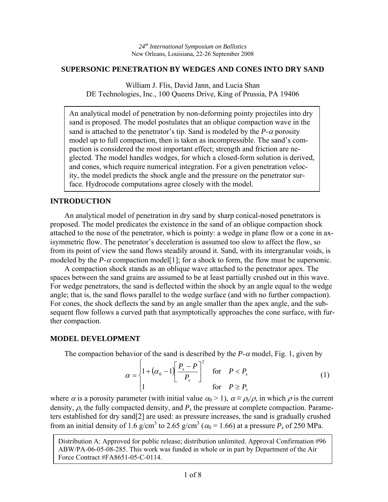### **SUPERSONIC PENETRATION BY WEDGES AND CONES INTO DRY SAND**

William J. Flis, David Jann, and Lucia Shan DE Technologies, Inc., 100 Queens Drive, King of Prussia, PA 19406

An analytical model of penetration by non-deforming pointy projectiles into dry sand is proposed. The model postulates that an oblique compaction wave in the sand is attached to the penetrator's tip. Sand is modeled by the  $P-\alpha$  porosity model up to full compaction, then is taken as incompressible. The sand's compaction is considered the most important effect; strength and friction are neglected. The model handles wedges, for which a closed-form solution is derived, and cones, which require numerical integration. For a given penetration velocity, the model predicts the shock angle and the pressure on the penetrator surface. Hydrocode computations agree closely with the model.

## **INTRODUCTION**

 An analytical model of penetration in dry sand by sharp conical-nosed penetrators is proposed. The model predicates the existence in the sand of an oblique compaction shock attached to the nose of the penetrator, which is pointy: a wedge in plane flow or a cone in axisymmetric flow. The penetrator's deceleration is assumed too slow to affect the flow, so from its point of view the sand flows steadily around it. Sand, with its intergranular voids, is modeled by the *P*- $\alpha$  compaction model[1]; for a shock to form, the flow must be supersonic.

 A compaction shock stands as an oblique wave attached to the penetrator apex. The spaces between the sand grains are assumed to be at least partially crushed out in this wave. For wedge penetrators, the sand is deflected within the shock by an angle equal to the wedge angle; that is, the sand flows parallel to the wedge surface (and with no further compaction). For cones, the shock deflects the sand by an angle smaller than the apex angle, and the subsequent flow follows a curved path that asymptotically approaches the cone surface, with further compaction.

## **MODEL DEVELOPMENT**

The compaction behavior of the sand is described by the  $P-\alpha$  model, Fig. 1, given by

$$
\alpha = \begin{cases} 1 + (\alpha_0 - 1) \left[ \frac{P_s - P}{P_s} \right]^2 & \text{for } P < P_s \\ 1 & \text{for } P \ge P_s \end{cases}
$$
 (1)

where  $\alpha$  is a porosity parameter (with initial value  $\alpha_0 > 1$ ),  $\alpha \equiv \rho_s/\rho$ , in which  $\rho$  is the current density,  $\rho_s$  the fully compacted density, and  $P_s$  the pressure at complete compaction. Parameters established for dry sand[2] are used: as pressure increases, the sand is gradually crushed from an initial density of 1.6 g/cm<sup>3</sup> to 2.65 g/cm<sup>3</sup> ( $\alpha_0$  = 1.66) at a pressure  $P_s$  of 250 MPa.

Distribution A: Approved for public release; distribution unlimited. Approval Confirmation #96 ABW/PA-06-05-08-285. This work was funded in whole or in part by Department of the Air Force Contract #FA8651-05-C-0114.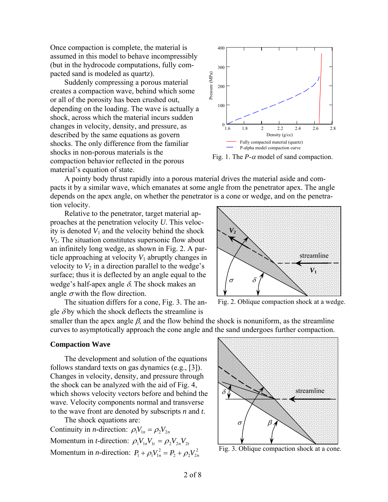Once compaction is complete, the material is assumed in this model to behave incompressibly (but in the hydrocode computations, fully compacted sand is modeled as quartz).

 Suddenly compressing a porous material creates a compaction wave, behind which some or all of the porosity has been crushed out, depending on the loading. The wave is actually a shock, across which the material incurs sudden changes in velocity, density, and pressure, as described by the same equations as govern shocks. The only difference from the familiar shocks in non-porous materials is the compaction behavior reflected in the porous material's equation of state.



Fig. 1. The  $P-\alpha$  model of sand compaction.

 A pointy body thrust rapidly into a porous material drives the material aside and compacts it by a similar wave, which emanates at some angle from the penetrator apex. The angle depends on the apex angle, on whether the penetrator is a cone or wedge, and on the penetration velocity.

 Relative to the penetrator, target material approaches at the penetration velocity *U*. This velocity is denoted  $V_1$  and the velocity behind the shock *V*2. The situation constitutes supersonic flow about an infinitely long wedge, as shown in Fig. 2. A particle approaching at velocity  $V_1$  abruptly changes in velocity to  $V_2$  in a direction parallel to the wedge's surface; thus it is deflected by an angle equal to the wedge's half-apex angle  $\delta$ . The shock makes an angle  $\sigma$  with the flow direction.

The situation differs for a cone, Fig. 3. The an-

gle  $\delta$  by which the shock deflects the streamline is



Fig. 2. Oblique compaction shock at a wedge.

smaller than the apex angle  $\beta$ , and the flow behind the shock is nonuniform, as the streamline curves to asymptotically approach the cone angle and the sand undergoes further compaction.

#### **Compaction Wave**

 The development and solution of the equations follows standard texts on gas dynamics (e.g., [3]). Changes in velocity, density, and pressure through the shock can be analyzed with the aid of Fig. 4, which shows velocity vectors before and behind the wave. Velocity components normal and transverse to the wave front are denoted by subscripts *n* and *t*.

 The shock equations are: Continuity in *n*-direction:  $\rho_1 V_{1n} = \rho_2 V_{2n}$ Momentum in *t*-direction:  $\rho_1 V_{1n} V_{1t} = \rho_2 V_{2n} V_{2t}$ Momentum in *n*-direction:  $P_1 + \rho_1 V_{1n}^2 = P_2 + \rho_2 V_{2n}^2$ 



Fig. 3. Oblique compaction shock at a cone.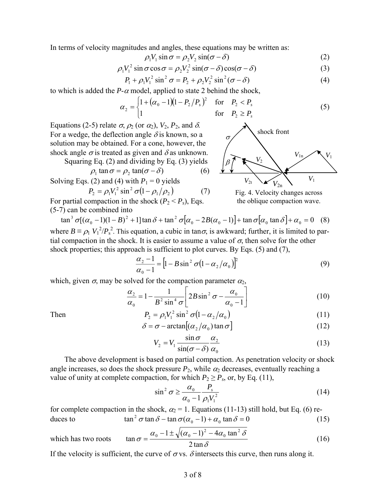In terms of velocity magnitudes and angles, these equations may be written as:

$$
\rho_1 V_1 \sin \sigma = \rho_2 V_2 \sin(\sigma - \delta) \tag{2}
$$

$$
\rho_1 V_1^2 \sin \sigma \cos \sigma = \rho_2 V_2^2 \sin(\sigma - \delta) \cos(\sigma - \delta)
$$
 (3)

$$
P_1 + \rho_1 V_1^2 \sin^2 \sigma = P_2 + \rho_2 V_2^2 \sin^2 (\sigma - \delta)
$$
 (4)

to which is added the  $P-\alpha$  model, applied to state 2 behind the shock,

$$
\alpha_2 = \begin{cases} 1 + (\alpha_0 - 1)(1 - P_2/P_s)^2 & \text{for } P_2 < P_s \\ 1 & \text{for } P_2 \ge P_s \end{cases} \tag{5}
$$

Equations (2-5) relate  $\sigma$ ,  $\rho_2$  (or  $\alpha_2$ ),  $V_2$ ,  $P_2$ , and  $\delta$ . For a wedge, the deflection angle  $\delta$  is known, so a solution may be obtained. For a cone, however, the shock angle  $\sigma$  is treated as given and  $\delta$  as unknown.

Squaring Eq. (2) and dividing by Eq. (3) yields

$$
\rho_1 \tan \sigma = \rho_2 \tan(\sigma - \delta) \tag{6}
$$

Solving Eqs. (2) and (4) with  $P_1 = 0$  yields

$$
P_2 = \rho_1 V_1^2 \sin^2 \sigma (1 - \rho_1 / \rho_2) \tag{7}
$$

For partial compaction in the shock  $(P_2 < P_s)$ , Eqs. (5-7) can be combined into



Fig. 4. Velocity changes across the oblique compaction wave.

 $\tan^3 \sigma [(\alpha_0 - 1)(1 - B)^2 + 1] \tan \delta + \tan^2 \sigma [\alpha_0 - 2B(\alpha_0 - 1)] + \tan \sigma [\alpha_0 \tan \delta] + \alpha_0 = 0$  (8) where  $B \equiv \rho_1 V_1^2/P_s^2$ . This equation, a cubic in tan $\sigma$ , is awkward; further, it is limited to par-

tial compaction in the shock. It is easier to assume a value of  $\sigma$ , then solve for the other shock properties; this approach is sufficient to plot curves. By Eqs. (5) and (7),

$$
\frac{\alpha_2 - 1}{\alpha_0 - 1} = \left[1 - B\sin^2\sigma\left(1 - \alpha_2/\alpha_0\right)\right]^2\tag{9}
$$

which, given  $\sigma$ , may be solved for the compaction parameter  $\alpha_2$ ,

$$
\frac{\alpha_2}{\alpha_0} = 1 - \frac{1}{B^2 \sin^4 \sigma} \left[ 2B \sin^2 \sigma - \frac{\alpha_0}{\alpha_0 - 1} \right]
$$
(10)

Then 
$$
P_2 = \rho_1 V_1^2 \sin^2 \sigma (1 - \alpha_2 / \alpha_0)
$$
 (11)

$$
\delta = \sigma - \arctan\left[\left(\alpha_2/\alpha_0\right)\tan\sigma\right] \tag{12}
$$

$$
V_2 = V_1 \frac{\sin \sigma}{\sin(\sigma - \delta)} \frac{\alpha_2}{\alpha_0}
$$
 (13)

 The above development is based on partial compaction. As penetration velocity or shock angle increases, so does the shock pressure  $P_2$ , while  $\alpha_2$  decreases, eventually reaching a value of unity at complete compaction, for which  $P_2 \ge P_s$ , or, by Eq. (11),

$$
\sin^2 \sigma \ge \frac{\alpha_0}{\alpha_0 - 1} \frac{P_s}{\rho_1 V_1^2}
$$
 (14)

for complete compaction in the shock,  $\alpha_2 = 1$ . Equations (11-13) still hold, but Eq. (6) reduces to  $\tan^2 \sigma \tan \delta - \tan \sigma (\alpha_0 - 1) + \alpha_0 \tan \delta = 0$  (15)

which has two roots 
$$
\tan \sigma = \frac{\alpha_0 - 1 \pm \sqrt{(\alpha_0 - 1)^2 - 4\alpha_0 \tan^2 \delta}}{2 \tan \delta}
$$
 (16)

If the velocity is sufficient, the curve of  $\sigma$  vs.  $\delta$  intersects this curve, then runs along it.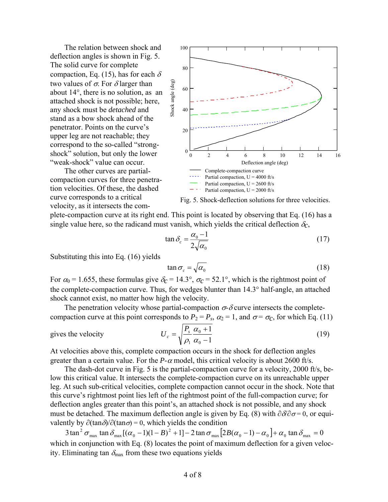The relation between shock and deflection angles is shown in Fig. 5. The solid curve for complete compaction, Eq. (15), has for each  $\delta$ two values of  $\sigma$ . For  $\delta$  larger than about 14°, there is no solution, as an attached shock is not possible; here, any shock must be *detached* and stand as a bow shock ahead of the penetrator. Points on the curve's upper leg are not reachable; they correspond to the so-called "strongshock" solution, but only the lower "weak-shock" value can occur.

 The other curves are partialcompaction curves for three penetration velocities. Of these, the dashed curve corresponds to a critical velocity, as it intersects the com-





plete-compaction curve at its right end. This point is located by observing that Eq. (16) has a single value here, so the radicand must vanish, which yields the critical deflection  $\delta_c$ ,

$$
\tan \delta_c = \frac{\alpha_0 - 1}{2\sqrt{\alpha_0}}\tag{17}
$$

Substituting this into Eq. (16) yields

$$
\tan \sigma_c = \sqrt{\alpha_0} \tag{18}
$$

For  $\alpha_0$  = 1.655, these formulas give  $\delta_c$  = 14.3°,  $\sigma_c$  = 52.1°, which is the rightmost point of the complete-compaction curve. Thus, for wedges blunter than 14.3° half-angle, an attached shock cannot exist, no matter how high the velocity.

The penetration velocity whose partial-compaction  $\sigma$ - $\delta$  curve intersects the completecompaction curve at this point corresponds to  $P_2 = P_s$ ,  $\alpha_2 = 1$ , and  $\sigma = \sigma_c$ , for which Eq. (11)

gives the velocity 
$$
U_c = \sqrt{\frac{I_s}{\rho_1} \frac{\alpha_0 + 1}{\alpha_0 - 1}}
$$

$$
U_c = \sqrt{\frac{P_s}{\rho_1} \frac{\alpha_0 + 1}{\alpha_0 - 1}}
$$
\n(19)

At velocities above this, complete compaction occurs in the shock for deflection angles greater than a certain value. For the  $P-\alpha$  model, this critical velocity is about 2600 ft/s.

 The dash-dot curve in Fig. 5 is the partial-compaction curve for a velocity, 2000 ft/s, below this critical value. It intersects the complete-compaction curve on its unreachable upper leg. At such sub-critical velocities, complete compaction cannot occur in the shock. Note that this curve's rightmost point lies left of the rightmost point of the full-compaction curve; for deflection angles greater than this point's, an attached shock is not possible, and any shock must be detached. The maximum deflection angle is given by Eq. (8) with  $\partial \partial \partial \sigma = 0$ , or equivalently by  $\partial (\tan \delta)/\partial (\tan \sigma) = 0$ , which yields the condition

 $3 \tan^2 \sigma_{\max} \tan \delta_{\max} [ (\alpha_0 - 1)(1-B)^2 + 1 ] - 2 \tan \sigma_{\max} [ 2B(\alpha_0 - 1) - \alpha_0 ] + \alpha_0 \tan \delta_{\max} = 0$ which in conjunction with Eq. (8) locates the point of maximum deflection for a given velocity. Eliminating tan  $\delta_{\text{max}}$  from these two equations yields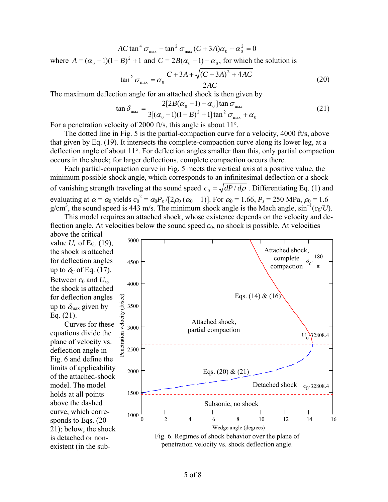$$
AC \tan^4 \sigma_{\text{max}} - \tan^2 \sigma_{\text{max}} (C + 3A)\alpha_0 + \alpha_0^2 = 0
$$

where  $A = (\alpha_0 - 1)(1 - B)^2 + 1$  and  $C = 2B(\alpha_0 - 1) - \alpha_0$ , for which the solution is

$$
\tan^2 \sigma_{\text{max}} = \alpha_0 \frac{C + 3A + \sqrt{(C + 3A)^2 + 4AC}}{2AC}
$$
 (20)

The maximum deflection angle for an attached shock is then given by

$$
\tan \delta_{\max} = \frac{2[2B(\alpha_0 - 1) - \alpha_0] \tan \sigma_{\max}}{3[(\alpha_0 - 1)(1 - B)^2 + 1] \tan^2 \sigma_{\max} + \alpha_0}
$$
(21)

For a penetration velocity of 2000 ft/s, this angle is about 11°.

 The dotted line in Fig. 5 is the partial-compaction curve for a velocity, 4000 ft/s, above that given by Eq. (19). It intersects the complete-compaction curve along its lower leg, at a deflection angle of about 11°. For deflection angles smaller than this, only partial compaction occurs in the shock; for larger deflections, complete compaction occurs there.

 Each partial-compaction curve in Fig. 5 meets the vertical axis at a positive value, the minimum possible shock angle, which corresponds to an infinitesimal deflection or a shock of vanishing strength traveling at the sound speed  $c_0 = \sqrt{dP/d\rho}$ . Differentiating Eq. (1) and evaluating at  $\alpha = \alpha_0$  yields  $c_0^2 = \alpha_0 P_s / [2\rho_0 (\alpha_0 - 1)]$ . For  $\alpha_0 = 1.66$ ,  $P_s = 250$  MPa,  $\rho_0 = 1.6$ g/cm<sup>3</sup>, the sound speed is 443 m/s. The minimum shock angle is the Mach angle,  $\sin^{-1}(c_0/U)$ .

 This model requires an attached shock, whose existence depends on the velocity and deflection angle. At velocities below the sound speed  $c_0$ , no shock is possible. At velocities above the critical

value *Uc* of Eq. (19), the shock is attached for deflection angles up to  $\delta_c$  of Eq. (17). Between  $c_0$  and  $U_c$ , the shock is attached for deflection angles up to  $\delta_{\text{max}}$  given by Eq. (21).

 Curves for these equations divide the plane of velocity vs. deflection angle in Fig. 6 and define the limits of applicability of the attached-shock model. The model holds at all points above the dashed curve, which corresponds to Eqs. (20- 21); below, the shock is detached or nonexistent (in the sub-

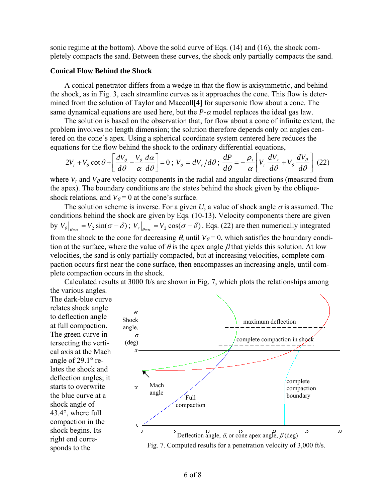sonic regime at the bottom). Above the solid curve of Eqs. (14) and (16), the shock completely compacts the sand. Between these curves, the shock only partially compacts the sand.

#### **Conical Flow Behind the Shock**

 A conical penetrator differs from a wedge in that the flow is axisymmetric, and behind the shock, as in Fig. 3, each streamline curves as it approaches the cone. This flow is determined from the solution of Taylor and Maccoll[4] for supersonic flow about a cone. The same dynamical equations are used here, but the  $P-\alpha$  model replaces the ideal gas law.

 The solution is based on the observation that, for flow about a cone of infinite extent, the problem involves no length dimension; the solution therefore depends only on angles centered on the cone's apex. Using a spherical coordinate system centered here reduces the equations for the flow behind the shock to the ordinary differential equations,

$$
2V_r + V_\theta \cot \theta + \left[\frac{dV_\theta}{d\theta} - \frac{V_\theta}{\alpha} \frac{d\alpha}{d\theta}\right] = 0; \ V_\theta = dV_r/d\theta; \ \frac{dP}{d\theta} = -\frac{\rho_s}{\alpha} \left[ V_r \frac{dV_r}{d\theta} + V_\theta \frac{dV_\theta}{d\theta} \right] (22)
$$

where  $V_r$  and  $V_\theta$  are velocity components in the radial and angular directions (measured from the apex). The boundary conditions are the states behind the shock given by the obliqueshock relations, and  $V_{\theta} = 0$  at the cone's surface.

The solution scheme is inverse. For a given *U*, a value of shock angle  $\sigma$  is assumed. The conditions behind the shock are given by Eqs. (10-13). Velocity components there are given by  $V_{\theta}|_{\theta=\sigma} = V_2 \sin(\sigma - \delta)$ ;  $V_r|_{\theta=\sigma} = V_2 \cos(\sigma - \delta)$ . Eqs. (22) are then numerically integrated from the shock to the cone for decreasing  $\theta$ , until  $V_{\theta} = 0$ , which satisfies the boundary condition at the surface, where the value of  $\theta$  is the apex angle  $\beta$  that yields this solution. At low velocities, the sand is only partially compacted, but at increasing velocities, complete compaction occurs first near the cone surface, then encompasses an increasing angle, until complete compaction occurs in the shock.

 Calculated results at 3000 ft/s are shown in Fig. 7, which plots the relationships among the various angles.

The dark-blue curve relates shock angle to deflection angle at full compaction. The green curve intersecting the vertical axis at the Mach angle of 29.1° relates the shock and deflection angles; it starts to overwrite the blue curve at a shock angle of 43.4°, where full compaction in the shock begins. Its right end corresponds to the



Fig. 7. Computed results for a penetration velocity of 3,000 ft/s.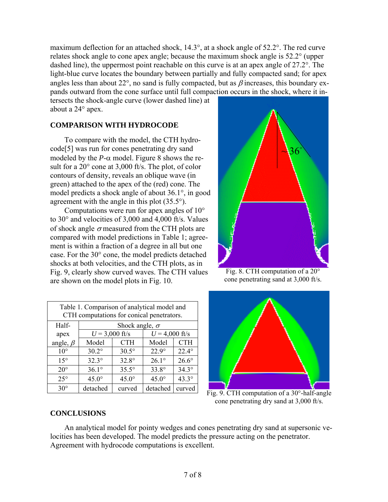maximum deflection for an attached shock, 14.3°, at a shock angle of 52.2°. The red curve relates shock angle to cone apex angle; because the maximum shock angle is 52.2° (upper dashed line), the uppermost point reachable on this curve is at an apex angle of 27.2°. The light-blue curve locates the boundary between partially and fully compacted sand; for apex angles less than about 22°, no sand is fully compacted, but as  $\beta$  increases, this boundary expands outward from the cone surface until full compaction occurs in the shock, where it in-

tersects the shock-angle curve (lower dashed line) at about a 24° apex.

## **COMPARISON WITH HYDROCODE**

 To compare with the model, the CTH hydrocode[5] was run for cones penetrating dry sand modeled by the  $P-\alpha$  model. Figure 8 shows the result for a 20° cone at 3,000 ft/s. The plot, of color contours of density, reveals an oblique wave (in green) attached to the apex of the (red) cone. The model predicts a shock angle of about 36.1°, in good agreement with the angle in this plot (35.5°).

 Computations were run for apex angles of 10° to 30° and velocities of 3,000 and 4,000 ft/s. Values of shock angle  $\sigma$  measured from the CTH plots are compared with model predictions in Table 1; agreement is within a fraction of a degree in all but one case. For the 30° cone, the model predicts detached shocks at both velocities, and the CTH plots, as in Fig. 9, clearly show curved waves. The CTH values are shown on the model plots in Fig. 10.

| Table 1. Comparison of analytical model and<br>CTH computations for conical penetrators. |                       |              |                  |              |  |  |  |
|------------------------------------------------------------------------------------------|-----------------------|--------------|------------------|--------------|--|--|--|
| Half-                                                                                    | Shock angle, $\sigma$ |              |                  |              |  |  |  |
| apex                                                                                     | $U = 3,000$ ft/s      |              | $U = 4,000$ ft/s |              |  |  |  |
| angle, $\beta$                                                                           | Model                 | <b>CTH</b>   | Model            | <b>CTH</b>   |  |  |  |
| $10^{\circ}$                                                                             | $30.2^\circ$          | $30.5^\circ$ | $22.9^\circ$     | $22.4^\circ$ |  |  |  |
| $15^{\circ}$                                                                             | $32.3^\circ$          | $32.8^\circ$ | $26.1^\circ$     | $26.6^\circ$ |  |  |  |
| $20^{\circ}$                                                                             | $36.1^\circ$          | $35.5^\circ$ | $33.8^\circ$     | $34.3^\circ$ |  |  |  |
| $25^{\circ}$                                                                             | $45.0^\circ$          | $45.0^\circ$ | $45.0^\circ$     | $43.3^\circ$ |  |  |  |
| $30^\circ$                                                                               | detached              | curved       | detached         | curved       |  |  |  |



Fig. 8. CTH computation of a 20° cone penetrating sand at 3,000 ft/s.



Fig. 9. CTH computation of a 30°-half-angle cone penetrating dry sand at 3,000 ft/s.

## **CONCLUSIONS**

 An analytical model for pointy wedges and cones penetrating dry sand at supersonic velocities has been developed. The model predicts the pressure acting on the penetrator. Agreement with hydrocode computations is excellent.